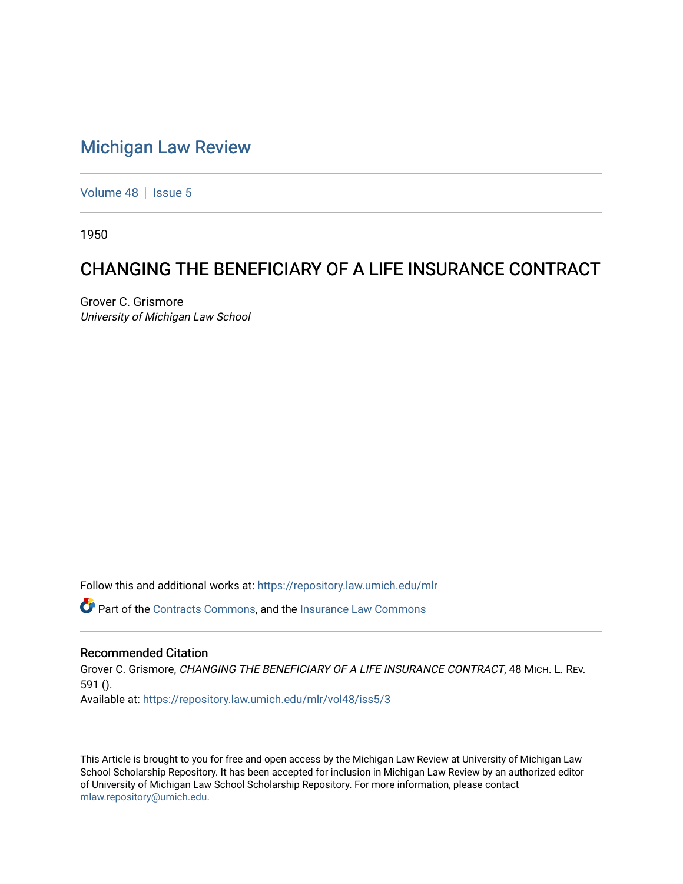## [Michigan Law Review](https://repository.law.umich.edu/mlr)

[Volume 48](https://repository.law.umich.edu/mlr/vol48) | [Issue 5](https://repository.law.umich.edu/mlr/vol48/iss5)

1950

# CHANGING THE BENEFICIARY OF A LIFE INSURANCE CONTRACT

Grover C. Grismore University of Michigan Law School

Follow this and additional works at: [https://repository.law.umich.edu/mlr](https://repository.law.umich.edu/mlr?utm_source=repository.law.umich.edu%2Fmlr%2Fvol48%2Fiss5%2F3&utm_medium=PDF&utm_campaign=PDFCoverPages) 

Part of the [Contracts Commons](http://network.bepress.com/hgg/discipline/591?utm_source=repository.law.umich.edu%2Fmlr%2Fvol48%2Fiss5%2F3&utm_medium=PDF&utm_campaign=PDFCoverPages), and the [Insurance Law Commons](http://network.bepress.com/hgg/discipline/607?utm_source=repository.law.umich.edu%2Fmlr%2Fvol48%2Fiss5%2F3&utm_medium=PDF&utm_campaign=PDFCoverPages)

### Recommended Citation

Grover C. Grismore, CHANGING THE BENEFICIARY OF A LIFE INSURANCE CONTRACT, 48 MICH. L. REV. 591 (). Available at: [https://repository.law.umich.edu/mlr/vol48/iss5/3](https://repository.law.umich.edu/mlr/vol48/iss5/3?utm_source=repository.law.umich.edu%2Fmlr%2Fvol48%2Fiss5%2F3&utm_medium=PDF&utm_campaign=PDFCoverPages)

This Article is brought to you for free and open access by the Michigan Law Review at University of Michigan Law School Scholarship Repository. It has been accepted for inclusion in Michigan Law Review by an authorized editor of University of Michigan Law School Scholarship Repository. For more information, please contact [mlaw.repository@umich.edu.](mailto:mlaw.repository@umich.edu)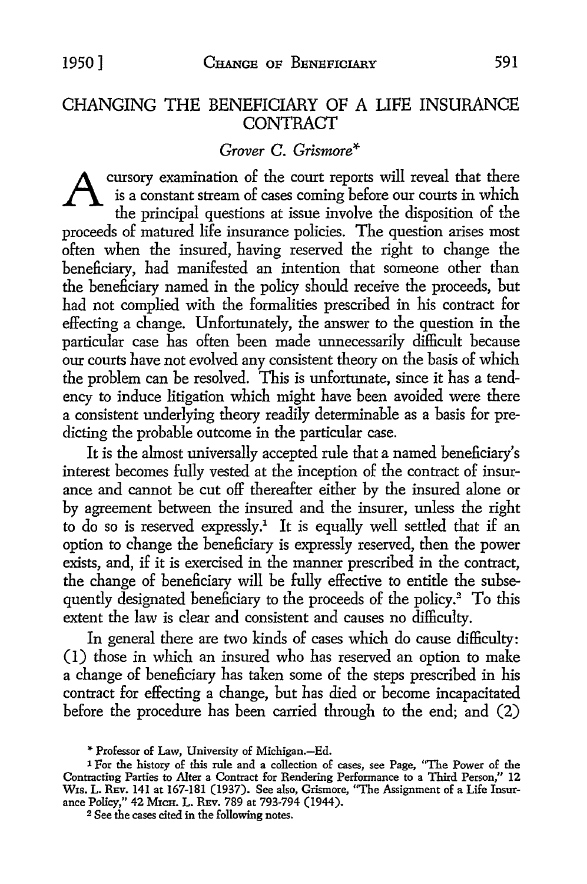### CHANGING THE BENEFICIARY OF A LIFE INSURANCE **CONTRACT**

#### *Grover* C. *Grismore\**

cursory examination of the court reports will reveal that there is a constant stream of cases coming before our courts in which the principal questions at issue involve the disposition of the proceeds of matured life insurance policies. The question arises most often when the insured, having reserved the right to change the beneficiary, had manifested an intention that someone other than the beneficiary named in the policy should receive the proceeds, but had not complied with the formalities prescribed in his contract for effecting a change. Unfortunately, the answer to the question in the particular case has often been made unnecessarily difficult because our courts have not evolved any consistent theory on the basis of which the problem can be resolved. This is unfortunate, since it has a tendency to induce litigation which might have been avoided were there a consistent underlying theory readily determinable as a basis for predicting the probable outcome in the particular case.

It is the almost universally accepted rule that a named beneficiary's interest becomes fully vested at the inception of the contract of insurance and cannot be cut off thereafter either by the insured alone or by agreement between the insured and the insurer, unless the right to do so is reserved expressly.<sup>1</sup> It is equally well settled that if an option to change the beneficiary is expressly reserved, then the power exists, and, if it is exercised in the manner prescribed in the contract, the change of beneficiary will be fully effective to entitle the subsequently designated beneficiary to the proceeds of the policy.<sup>2</sup> To this extent the law is clear and consistent and causes no difficulty.

In general there are two kinds of cases which do cause difficulty: (1) those in which an insured who has reserved an option to make a change of beneficiary has taken some of the steps prescribed in his contract for effecting a change, but has died or become incapacitated before the procedure has been carried through to the end; and (2)

<sup>&</sup>quot; Professor of Law, University of Michigan.-Ed.

<sup>1</sup> For the history of this rule and a collection of cases, see Page, "The Power of the Contracting Parties to Alter a Contract for Rendering Performance to a Third Person," 12 Wis. L. REv. 141 at 167-181 (1937). See also, Grismore, "The Assignment of a Life Insurance Policy," 42 MicH. L. REv. 789 at 793-794 (1944).

<sup>&</sup>lt;sup>2</sup> See the cases cited in the following notes.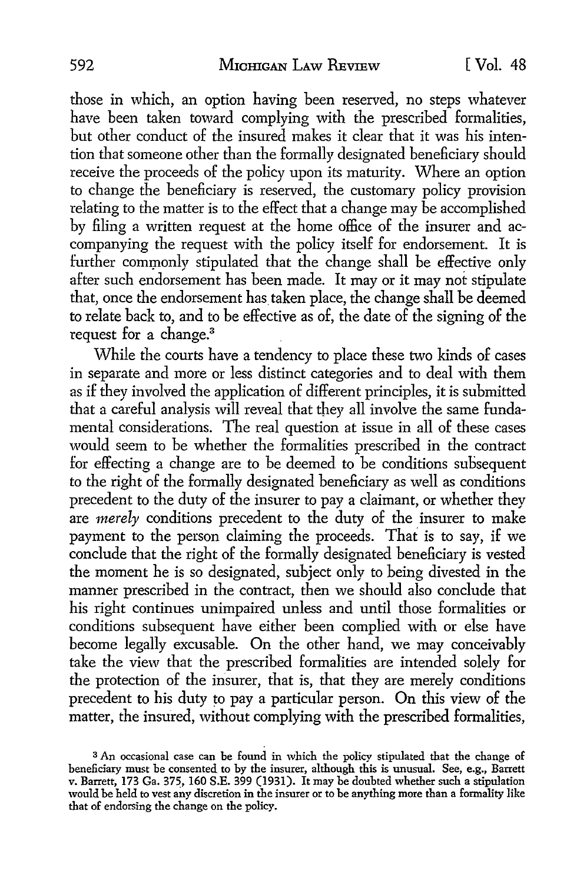those in which, an option having been reserved, no steps whatever have been taken toward complying with the prescribed formalities, but other conduct of the insured makes it clear that it was his intention that someone other than the formally designated beneficiary should receive the proceeds of the policy upon its maturity. Where an option *to* change the beneficiary is reserved, the customary policy provision relating *to* the matter is to the effect that a change may be accomplished by filing a written request at the home office of the insurer and accompanying the request with the policy itself for endorsement. It is further commonly stipulated that the change shall be effective only after such endorsement has been made. It may or it may not stipulate that, once the endorsement has taken place, the change shall be deemed to relate back to, and to be effective as of, the date of the signing of the request for a change.<sup>3</sup>

While the courts have a tendency to place these two kinds of cases in separate and more or less distinct categories and *to* deal with them as if they involved the application of different principles, it is submitted that a careful analysis will reveal that they all involve the same fundamental considerations. The real question at issue in all of these cases would seem to be whether the formalities prescribed in the contract for effecting a change are to be deemed to be conditions subsequent to the right of the formally designated beneficiary as well as conditions precedent *to* the duty of the insurer to pay a claimant, or whether they are *merely* conditions precedent to the duty of the insurer to make payment to the person claiming the proceeds. That is to say, if we conclude that the right of the formally designated beneficiary is vested the moment he is so designated, subject only to being divested in the manner prescribed in the contract, then we should also conclude that his right continues unimpaired unless and until those formalities or conditions subsequent have either been complied with or else have become legally excusable. On the other hand, we may conceivably take the view that the prescribed formalities are intended solely for the protection of the insurer, that is, that they are merely conditions precedent to his duty to pay a particular person. On this view of the matter, the insured, without complying with the prescribed formalities,

<sup>3</sup>An occasional case can be found in which the policy stipulated that the change of beneficiary must be consented to by the insurer, although this is unusual. See, e.g., Barrett v. Barrett, 173 Ga. 375, 160 S.E. 399 (1931). It may be doubted whether such a stipulation would be held to vest any discretion in the insurer or to be anything more than a formality like that of endorsing the change on the policy.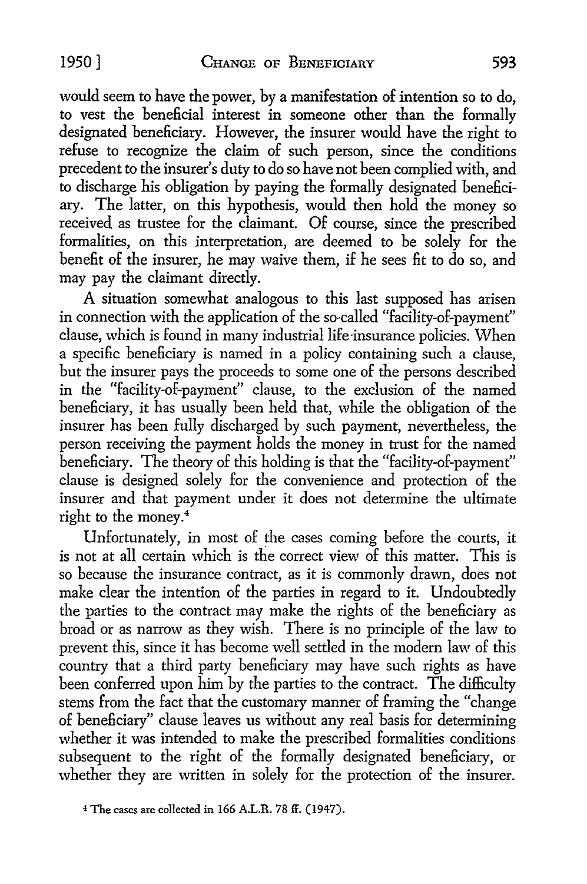would seem to have the power, by a manifestation of intention so to do, to vest the beneficial interest in someone other than the formally designated beneficiary. However, the insurer would have the right to refuse to recognize the claim of such person, since the conditions precedent to the insurer's duty to do so have not been complied with, and to discharge his obligation by paying the formally designated beneficiary. The latter, on this hypothesis, would then hold the money so received as trustee for the claimant. Of course, since the prescribed formalities, on this interpretation, are deemed to be solely for the benefit of the insurer, he may waive them, if he sees fit to do so, and may pay the claimant directly.

A situation somewhat analogous to this last supposed has arisen in connection with the application of the so-called "facility-of-payment" clause, which is found in many industrial life insurance policies. When a specific beneficiary is named in a policy containing such a clause, but the insurer pays the proceeds to some one of the persons described in the "facility-of-payment" clause, to the exclusion of the named beneficiary, it has usually been held that, while the obligation of the insurer has been fully discharged by such payment, nevertheless, the person receiving the payment holds the money in trust for the named beneficiary. The theory of this holding is that the "facility-of-payment" clause is designed solely for the convenience and protection of the insurer and that payment under it does not determine the ultimate right to the money.<sup>4</sup>

Unfortunately, in most of the cases coming before the courts, it is not at all certain which is the correct view of this matter. This is so because the insurance contract, as it is commonly drawn, does not make clear the intention of the parties in regard to it. Undoubtedly the parties to the contract may make the rights of the beneficiary as broad or as narrow as they wish. There is no principle of the law to prevent this, since it has become well settled in the modern law of this country that a third party beneficiary may have such rights as have been conferred upon him by the parties to the contract. The difficulty stems from the fact that the customary manner of framing the "change of beneficiary" clause leaves us without any real basis for determining whether it was intended to make the prescribed formalities conditions subsequent to the right of the formally designated beneficiary, or whether they are written in solely for the protection of the insurer.

<sup>4</sup> The cases are co1Iected in 166 A.L.R. 78 ff. (1947).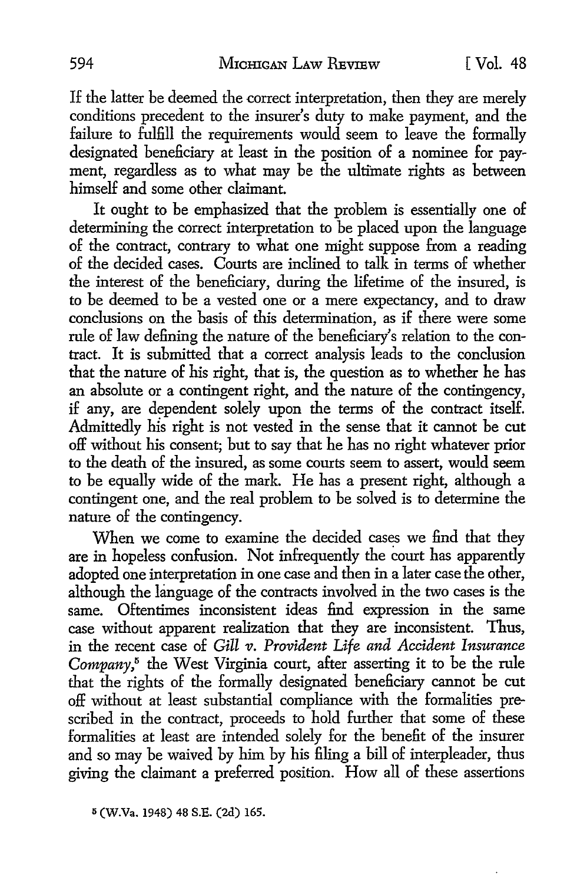If the latter be deemed the correct interpretation, then they are merely conditions precedent to the insurer's duty to make payment, and the failure to fulfill the requirements would seem to leave the formally designated beneficiary at least in the position of a nominee for payment, regardless as to what may be the ultimate rights as between himself and some other claimant.

It ought to be emphasized that the problem is essentially one of determining the correct interpretation to be placed upon the language of the contract, contrary to what one might suppose from a reading of the decided cases. Courts are inclined to talk in terms of whether the interest of the beneficiary, during the lifetime of the insured, is to be deemed to be a vested one or a mere expectancy, and to draw conclusions on the basis of this determination, as if there were some rule of law defining the nature of the beneficiary's relation to the contract. It is submitted that a correct analysis leads to the conclusion that the nature of his right, that is, the question as to whether he has an absolute or a contingent right, and the nature of the contingency, if any, are dependent solely upon the terms of the contract itself. Admittedly his right is not vested in the sense that it cannot be cut off without his consent; but to say that he has no right whatever prior to the death of the insured, as some courts seem to assert, would seem to be equally wide of the mark. He has a present right, although a contingent one, and the real problem to be solved is to determine the nature of the contingency.

When we come to examine the decided cases we find that they are in hopeless confusion. Not infrequently the court has apparently adopted one interpretation in one case and then in a later case the other, although the language of the contracts involved in the two cases is the same. Oftentimes inconsistent ideas find expression in the same case without apparent realization that they are inconsistent. Thus, in the recent case of *Gill* 11. *Provident Life and Accident Insurance*  Company,<sup>5</sup> the West Virginia court, after asserting it to be the rule that the rights of the formally designated beneficiary cannot be cut off without at least substantial compliance with the formalities prescribed in the contract, proceeds to hold further that some of these formalities at least are intended solely for the benefit of the insurer and so may be waived by him by his filing a bill of interpleader, thus giving the claimant a preferred position. How all of these assertions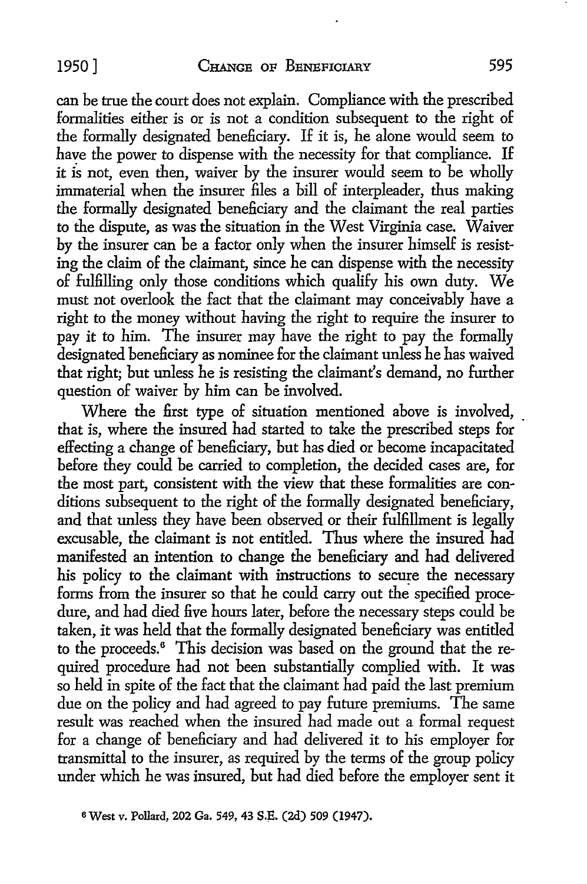can be true the court does not explain. Compliance with the prescribed formalities either is or is not a condition subsequent to the right of the formally designated beneficiary. If it is, he alone would seem to have the power to dispense with the necessity for that compliance. If it is not, even then, waiver by the insurer would seem to be wholly immaterial when the insurer files a bill of interpleader, thus making the formally designated beneficiary and the claimant the real parties to the dispute, as was the situation in the West Virginia case. Waiver by the insurer can be a factor only when the insurer himself is resisting the claim of the claimant, since he can dispense with the necessity of fulfilling only those conditions which qualify his own duty. We must not overlook the fact that the claimant may conceivably have a right to the money without having the right to require the insurer to pay it to him. The insurer may have the right to pay the formally designated beneficiary as nominee for the claimant unless he has waived that right; but unless he is resisting the claimant's demand, no further question of waiver by him can be involved.

Where the first type of situation mentioned above is involved, that is, where the insured had started to take the prescribed steps for effecting a change of beneficiary, but has died or become incapacitated before they could be carried to completion, the decided cases are, for the most part, consistent with the view that these formalities are conditions subsequent to the right of the formally designated beneficiary, and that unless they have been observed or their fulfillment is legally excusable, the claimant is not entitled. Thus where the insured had manifested an intention to change the beneficiary and had delivered his policy to the claimant with instructions to secure the necessary forms from the insurer so that he could carry out the specified procedure, and had died five hours later, before the necessary steps could be taken, it was held that the formally designated beneficiary was entitled to the proceeds.<sup>6</sup> This decision was based on the ground that the required procedure had not been substantially complied with. It was so held in spite of the fact that the claimant had paid the last premium due on the policy and had agreed *to* pay future premiums. The same result was reached when the insured had made out a formal request for a change of beneficiary and had delivered it to his employer for transmittal *to* the insurer, as required by the terms of the group policy under which he was insured, but had died before the employer sent it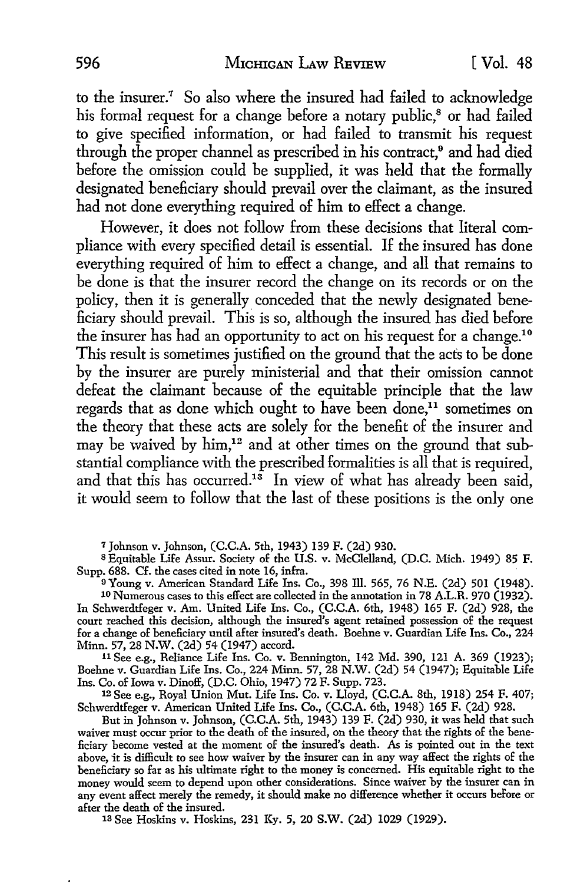to the insurer.<sup>7</sup> So also where the insured had failed to acknowledge his formal request for a change before a notary public,<sup>8</sup> or had failed to give specified information, or had failed to transmit his request through the proper channel as prescribed in his contract,<sup>9</sup> and had died before the omission could be supplied, it was held that the formally designated beneficiary should prevail over the claimant, as the insured had not done everything required of him to effect a change.

However, it does not follow from these decisions that literal compliance with every specified detail is essential. If the insured has done everything required of him to effect a change, and all that remains to be done is that the insurer record the change on its records or on the policy, then it is generally conceded that the newly designated beneficiary should prevail. This is so, although the insured has died before the insurer has had an opportunity to act on his request for a change.10 This result is sometimes justified on the ground that the acts to be done by the insurer are purely ministerial and that their omission cannot defeat the claimant because of the equitable principle that the law regards that as done which ought to have been done,<sup>11</sup> sometimes on the theory that these acts are solely for the benefit of the insurer and may be waived by him,<sup>12</sup> and at other times on the ground that substantial compliance with the prescribed formalities is all that is required, and that this has occurred.<sup>13</sup> In view of what has already been said, it would seem to follow that the last of these positions is the only one

<sup>7</sup>Johnson v. Johnson, (C.C.A. 5th, 1943) 139 F. (2d) 930.

s Equitable Life Assur. Society of the **U.S.** v. McClelland, (D.C. Mich. 1949) 85 F. Supp. 688. Cf. the cases cited in note 16, infra.

9Young v. American Standard Life Ins. Co., 398 Ill. 565, 76 N.E. (2d) 501 (1948).

10 Numerous cases to this effect are collected in the annotation in 78 A.L.R. 970 (1932). In Schwerdtfeger v. Am. United Life Ins. Co., (C.C.A. 6th, 1948) 165 F. (2d) 928, the court reached this decision, although the insured's agent retained possession of the request for a change of beneficiary until after insured's death. Boehne v. Guardian Life Ins. Co., 224 Minn. 57, 28 N.W. (2d) 54 (1947) accord.

<sup>11</sup>See e.g., Reliance Life Ins. Co. v. Bennington, 142 Md. 390, 121 A. 369 (1923); Boehne v. Guardian Life Ins. Co., 224 Minn. 57, 28 N.W. (2d) 54 (1947); Equitable Life Ins. Co. of Iowa v. Dinoff, (D.C. Ohio, 1947) 72 F. Supp. 723.

12 See e.g., Royal Union Mut. Life Ins. Co. v. Lloyd, (C.C.A. 8th, 1918) 254 F. 407; Schwerdtfeger v. American United Life Ins. Co., (C.C.A. 6th, 1948) 165 F. (2d) 928.

But in Johnson v. Johnson, (C.C.A. 5th, 1943) 139 F. (2d) 930, it was held that such waiver must occur prior to the death of the insured, on the theory that the rights of the beneficiary become vested at the moment of the insured's death. As is pointed out in the text above, it is difficult to see how waiver by the insurer can in any way affect the rights of the beneficiary so far as his ultimate right to the money is concerned. His equitable right to the money would seem to depend upon other considerations. Since waiver by the insurer can in any event affect merely the remedy, it should make no difference whether it occurs before or after the death of the insured.

13 See Hoskins v. Hoskins, 231 Ky. 5, 20 **S.W.** (2d) 1029 (1929).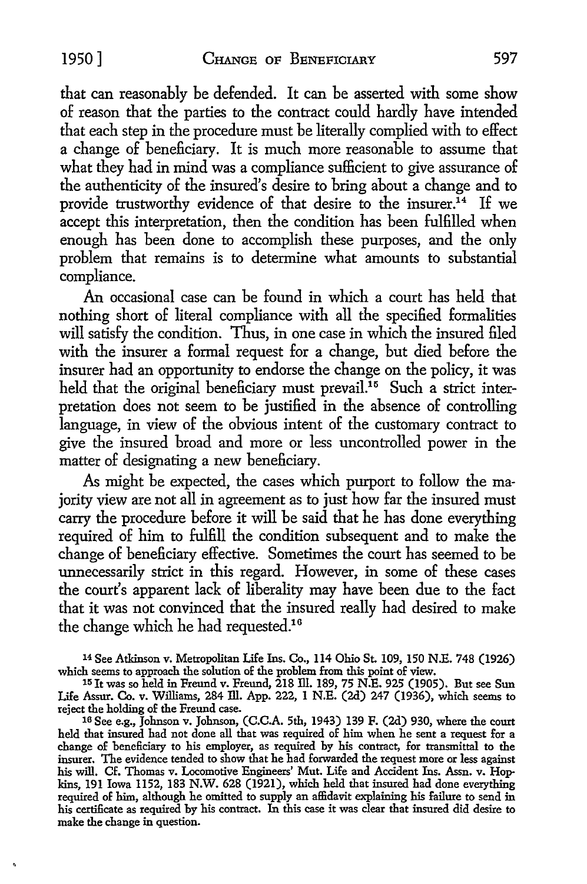that can reasonably be defended. It can be asserted with some show of reason that the parties to the contract could hardly have intended that each step in the procedure must be literally complied with to effect a change of beneficiary. It is much more reasonable to assume that what they had in mind was a compliance sufficient to give assurance of the authenticity of the insured's desire to bring about a change and to provide trustworthy evidence of that desire to the insurer.<sup>14</sup> If we accept this interpretation, then the condition has been fulfilled when enough has been done to accomplish these purposes, and the only problem that remains is to determine what amounts to substantial compliance.

An occasional case can be found in which a court has held that nothing short of literal compliance with all the specified formalities will satisfy the condition. Thus, in one case in which the insured filed with the insurer a formal request for a change, but died before the insurer had an opportunity to endorse the change on the policy, it was held that the original beneficiary must prevail.<sup>15</sup> Such a strict interpretation does not seem to be justified in the absence of controlling language, in view of the obvious intent of the customary contract to give the insured broad and more or less uncontrolled power in the matter of designating a new beneficiary.

As might be expected, the cases which purport to follow the majority view are not all in agreement as to just how far the insured must carry the procedure before it will be said that he has done everything required of him to fulfill the condition subsequent and to make the change of beneficiary effective. Sometimes the court has seemed to be unnecessarily strict in this regard. However, in some of these cases the court's apparent lack of liberality may have been due to the fact that it was not convinced that the insured really had desired to make the change which he had requested.<sup>16</sup>

<sup>14</sup>See Atkinson v. Metropolitan Life Ins. Co., 114 Ohio St. 109, 150 N.E. 748 (1926) which seems to approach the solution of the problem from this point of view.

15 Jt was so held in Freund v. Freund, 218 ill. 189, 75 N.E. 925 (1905). But see Sun Life Assur. Co. v. Williams, 284 ill. App. 222, 1 N.E. (2d) 247 (1936), which seems to reject the holding of the Freund case.

16 See e.g., Johnson v. Johnson, (C.C.A. 5th, 1943) 139 F. (2d) 930, where the court held that insured had not done all that was required of him when he sent a request for a change of beneficiary to his employer, as required by his contract, for transmittal to the insurer. The evidence tended to show that he had forwarded the request more or less against his will. Cf. Thomas v. Locomotive Engineers' Mut. Life and Accident Ins. Assn. v. Hopkins, 191 Iowa 1152, 183 N.W. 628 (1921), which held that insured had done everything required of him, although he omitted to supply an affidavit explaining his failure to send in his certificate as required by his contract. In this case it was clear that insured did desire to make the change in question.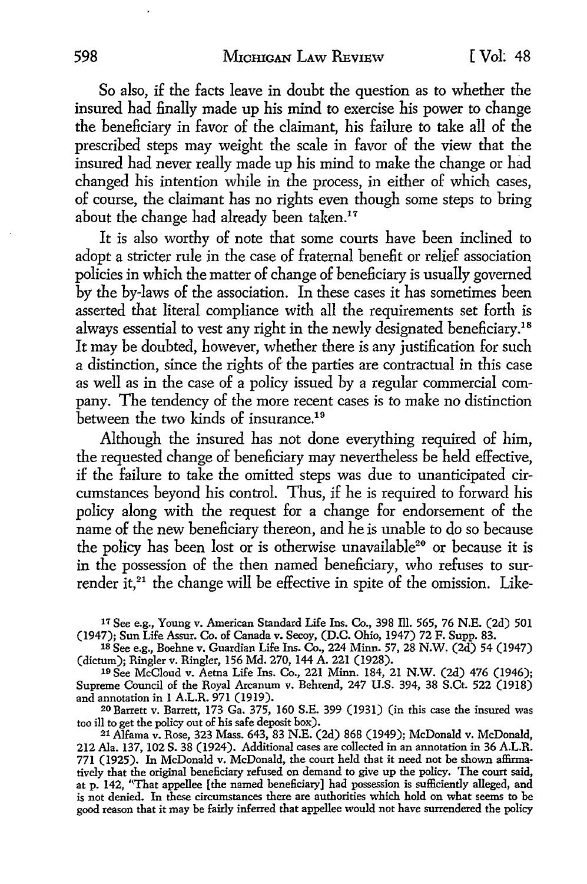So also, if the facts leave in doubt the question as to whether the insured had finally made up his mind to exercise his power to change the beneficiary in favor of the claimant, his failure to take all of the prescribed steps may weight the scale in favor of the view that the insured had never really made up his mind to make the change or had changed his intention while in the process, in either of which cases, of course, the claimant has no rights even though some steps to bring about the change had already been taken.<sup>17</sup>

It is also worthy of note that some courts have been inclined to adopt a stricter rule in the case of fraternal benefit or relief association policies in which the matter of change of beneficiary is usually governed by the by-laws of the association. In these cases it has sometimes been asserted that literal compliance with all the requirements set forth is always essential to *vest* any right in the newly designated beneficiary.<sup>18</sup> It may be doubted, however, whether there is any justification for such a distinction, since the rights of the parties are contractual in this case as well as in the case of a policy issued by a regular commercial company. The tendency of the more recent cases is to make no distinction between the *two* kinds of insurance.<sup>19</sup>

Although the insured has not done everything required of him, the requested change of beneficiary may nevertheless be held effective, if the failure *to* take the omitted steps was due to unanticipated circumstances beyond his control. Thus, if he is required *to* forward his policy along with the request for a change for endorsement of the name of the new beneficiary thereon, and he is unable to do so because the policy has been lost or is otherwise unavailable<sup>20</sup> or because it is in the possession of the then named beneficiary, who refuses *to* surrender it.<sup>21</sup> the change will be effective in spite of the omission. Like-

17 See e.g., Young v. American Standard Life Ins. Co., 398 Ill. 565, 76 N.E. (2d) 501 (1947); Sun Life Assur. Co. of Canada v. Secoy, (D.C. Ohio, 1947) 72 F. Supp. 83.

18 See e.g., Boehne v. Guardian Life Ins. Co., 224 Minn. 57, 28 N.W. (2d) 54 (1947) (dictum); Ringler v. Ringler, 156 Md. 270, 144 A. 221 (1928).

10 See McCloud v. Aetna Life Ins. Co., 221 Minn. 184, 21 N.W. (2d) 476 (1946); Supreme Council of the Royal Arcanum v. Behrend, 247 U.S. 394, 38 S.Ct. 522 (1918) and annotation in l A.L.R. 971 (1919).

20Barrett v. Barrett, 173 Ga. 375, 160 S.E. 399 (1931) (in this case the insured was too ill to get the policy out of his safe deposit box).

21 Alfama v. Rose, 323 Mass. 643, 83 N.E. (2d) 868 (1949); McDonald v. McDonald, 212 Ala. 137, 102 S. 38 (1924). Additional cases are collected in an annotation in 36 A.L.R. 771 (1925). In McDonald v. McDonald, the court held that it need not be shown affinnatively that the original beneficiary refused on demand to give up the policy. The court said, at p. 142, ''That appellee [the named beneficiary] had possession is sufficiently alleged, and is not denied. In these circumstances there are authorities which hold on what seems to be good reason that it may be fairly inferred that appellee would not have surrendered the policy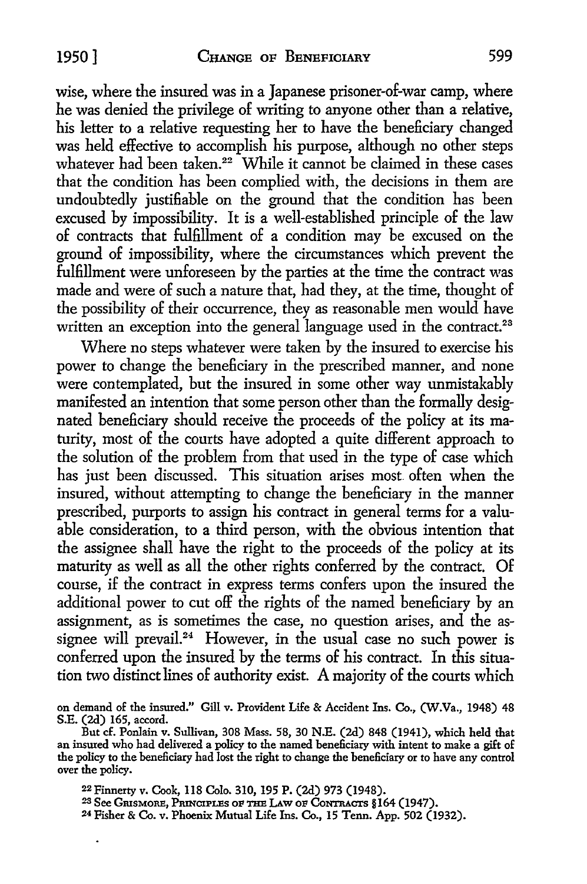wise, where the insured was in a Japanese prisoner-of-war camp, where he was denied the privilege of writing to anyone other than a relative, his letter to a relative requesting her to have the beneficiary changed was held effective to accomplish his purpose, although no other steps whatever had been taken.<sup>22</sup> While it cannot be claimed in these cases that the condition has been complied with, the decisions in them are undoubtedly justifiable on the ground that the condition has been excused by impossibility. It is a well-established principle of the law of contracts that fulfillment of a condition may be excused on the ground of impossibility, where the circumstances which prevent the fulfillment were unforeseen by the parties at the time the contract was made and were of such a nature that, had they, at the time, thought of the possibility of their occurrence, they as reasonable men would have written an exception into the general language used in the contract.<sup>23</sup>

Where no steps whatever were taken by the insured to exercise his power to change the beneficiary in the prescribed manner, and none were contemplated, but the insured in some other way unmistakably manifested an intention that some person other than the formally designated beneficiary should receive the proceeds of the policy at its maturity, most of the courts have adopted a quite different approach to the solution of the problem from that used in the type of case which has just been discussed. This situation arises most often when the insured, without attempting to change the beneficiary in the manner prescribed, purports to assign his contract in general terms for a valuable consideration, to a third person, with the obvious intention that the assignee shall have the right to the proceeds of the policy at its maturity as well as all the other rights conferred by the contract. Of course, if the contract in express terms confers upon the insured the additional power to cut off the rights of the named beneficiary by an assignment, as is sometimes the case, no question arises, and the assignee will prevail.<sup>24</sup> However, in the usual case no such power is conferred upon the insured by the terms of his contract. In this situation two distinct lines of authority exist. A majority of the courts which

.

on demand of the insured." Gill v. Provident Life & Accident Ins. Co., (W.Va., 1948) 48 S.E. (2d) 165, accord.

But cf. Ponlain v. Sullivan, 308 Mass. 58, 30 N.E. (2d) 848 (1941), which held that an insured who had delivered a policy to the named beneficiary with intent to make a gift of the policy to the beneficiary had lost the right to change the beneficiary or to have any control over the policy.

<sup>22</sup>Finnerty v. Cook, 118 Colo. 310, 195 P. (2d) 973 (1948).

<sup>23</sup> See GrusMoRE, PRINCIPLES oF THE I.Aw OF CoNTRACTS §164 (1947).

<sup>2</sup>4 Fisher & Co. v. Phoenix Mutual Life Ins. Co., 15 Tenn. App. 502 (1932).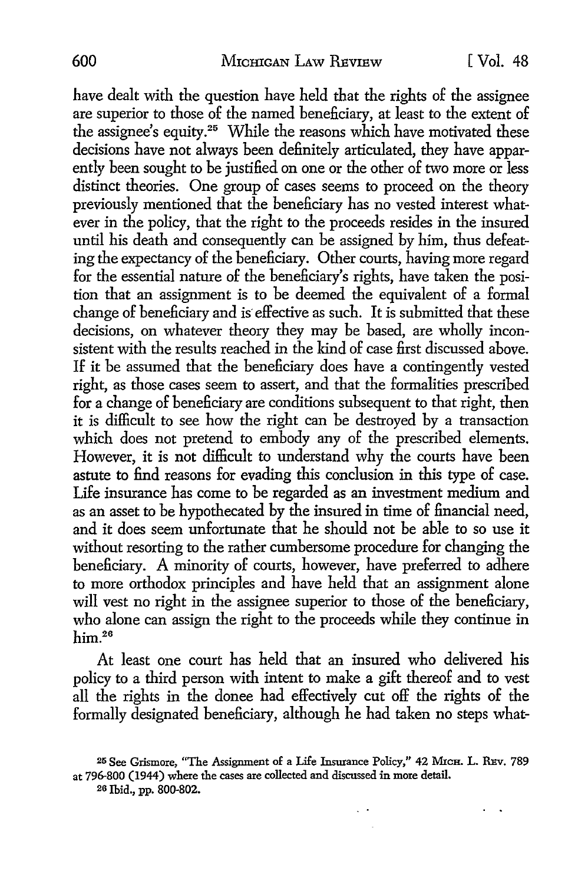have dealt with the question have held that the rights of the assignee are superior to those of the named beneficiary, at least to the extent of the assignee's equity.25 While the reasons which have motivated these decisions have not always been definitely articulated, they have apparently been sought *to* be justified on one or the other of two more or less distinct theories. One group of cases seems *to* proceed on the theory previously mentioned that the beneficiary has no vested interest whatever in the policy, that the right *to* the proceeds resides in the insured until his death and consequently can be assigned by him, thus defeating the expectancy of the beneficiary. Other courts, having more regard for the essential nature of the beneficiary's rights, have taken the position that an assignment is to be deemed the equivalent of a formal change of beneficiary and is effective as such. It is submitted that these decisions, on whatever theory they may be based, are wholly inconsistent with the results reached in the kind of case first discussed above. If it be assumed that the beneficiary does have a contingently vested right, as those cases seem *to* assert, and that the formalities prescribed for a change of beneficiary are conditions subsequent *to* that right, then it is difficult *to* see how the right can be destroyed by a transaction which does not pretend *to* embody any of the prescribed elements. However, it is not difficult to understand why the courts have been astute to find reasons for evading this conclusion in this type of case. Life insurance has come *to* be regarded as an investment medium and as an asset to be hypothecated by the insured in time of financial need, and it does seem unfortunate that he should not be able to so use it without resorting to the rather cumbersome procedure for changing the beneficiary. A minority of courts, however, have preferred *to* adhere to more orthodox principles and have held that an assignment alone will vest no right in the assignee superior *to* those of the beneficiary, who alone can assign the right to the proceeds while they continue in him.<sup>26</sup>

At least one court has held that an insured who delivered his policy to a third person with intent to make a gift thereof and *to* vest all the rights in the donee had effectively cut off the rights of the formally designated beneficiary, although he had taken no steps what-

 $\sim$ 

<sup>25</sup> See Grismore, "The Assignment of a Life Insurance Policy," 42 MicH. L. REv. 789 at 796-800 (1944) where the cases are collected and discussed in more detail.

<sup>20</sup> Ibid., pp. 800-802.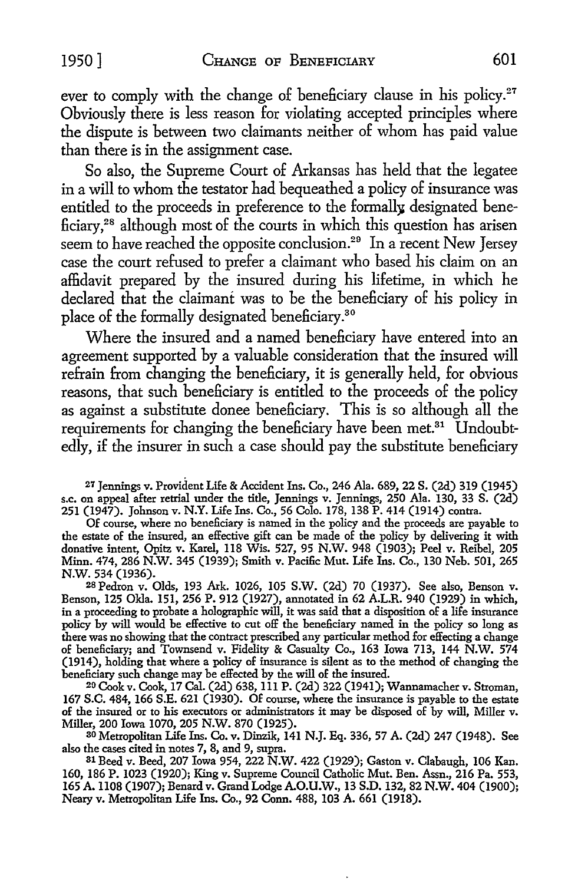ever to comply with the change of beneficiary clause in his policy.<sup>27</sup> Obviously there is less reason for violating accepted principles where the dispute is between two claimants neither of whom has paid value than there is in the assignment case.

So also, the Supreme Court of Arkansas has held that the legatee in a will to whom the testator had bequeathed a policy of insurance was entitled to the proceeds in preference to the formally designated beneficiary, 28 although most of the courts in which this question has arisen seem to have reached the opposite conclusion.<sup>29</sup> In a recent New Jersey case the court refused to prefer a claimant who based his claim on an affidavit prepared by the insured during his lifetime, in which he declared that the claimant was to be the beneficiary of his policy in place of the formally designated beneficiary.<sup>30</sup>

Where the insured and a named beneficiary have entered into an agreement supported by a valuable consideration that the insured will refrain from changing the beneficiary, it is generally held, for obvious reasons, that such beneficiary is entitled to the proceeds of the policy as against a substitute donee beneficiary. This is so although all the requirements for changing the beneficiary have been met.<sup>31</sup> Undoubtedly, if the insurer in such a case should pay the substitute beneficiary

27 Jennings v. Provident Life & Accident Ins. Co., 246 Ala. 689, 22 S. (2d) 319 (1945) s.c. on appeal after retrial under the title, Jennings v. Jennings, 250 Ala. 130, 33 S. (2d) 251 (1947). Johnson v. N.Y. Life Ins. Co., 56 Colo. 178, 138 P. 414 (1914) contra.

Of course, where no beneficiary is named in the policy and the proceeds are payable to the estate of the insured, an effective gift can be made of the policy by delivering it with donative intent, Opitz v. Karel, 118 Wis. 527, 95 N.W. 948 (1903); Peel v. Reibel, 205 Minn. 474, 286 N.W. 345 (1939); Smith v. Pacific Mut. Life Ins. Co., 130 Neb. 501, 265 N.W. 534 (1936).

28 Pedron v. Olds, 193 Ark. 1026, 105 S.W. (2d) 70 (1937). See also, Benson v. Benson, 125 Okla. 151, 256 P. 912 (1927), annotated in 62 A.L.R. 940 (1929) in which, in a proceeding to probate a holographic will, it was said that a disposition of a life insurance policy by will would be effective to cut off the beneficiary named in the policy so long as there was no showing that the contract prescribed any particular method for effecting a change of beneficiary; and Townsend v. Fidelity & Casualty Co., 163 Iowa 713, 144 N.W. 574 (1914), holding that where a policy of insurance is silent as to the method of changing the beneficiary such change may be effected by the will of the insured.

20 Cook v. Cook, 17 Cal. (2d) 638, Ill P. (2d) 322 (1941); Wannamacher v. Stroman, 167 S.C. 484, 166 S.E. 621 (1930). Of course, where the insurance is payable to the estate of the insured or to his executors or administrators it may be disposed of by will, Miller v.

<sup>30</sup> Metropolitan Life Ins. Co. v. Dinzik, 141 N.J. Eq. 336, 57 A. (2d) 247 (1948). See also the cases cited in notes 7, 8, and 9, supra.

31 Beed v. Beed, 207 Iowa 954, 222 N.W. 422 (1929); Gaston v. Clabaugh, 106 Kan. 160, 186 P. 1023 (1920); King v. Supreme Council Catholic Mut. Ben. Assn., 216 Pa. 553, 165 A. 1108 (1907); Benard v. Grand Lodge A.O.U.W., 13 S.D. 132, 82 N.W. 404 (1900); Neary v. Metropolitan Life Ins. Co., 92 Conn. 488, 103 A. 661 (1918).